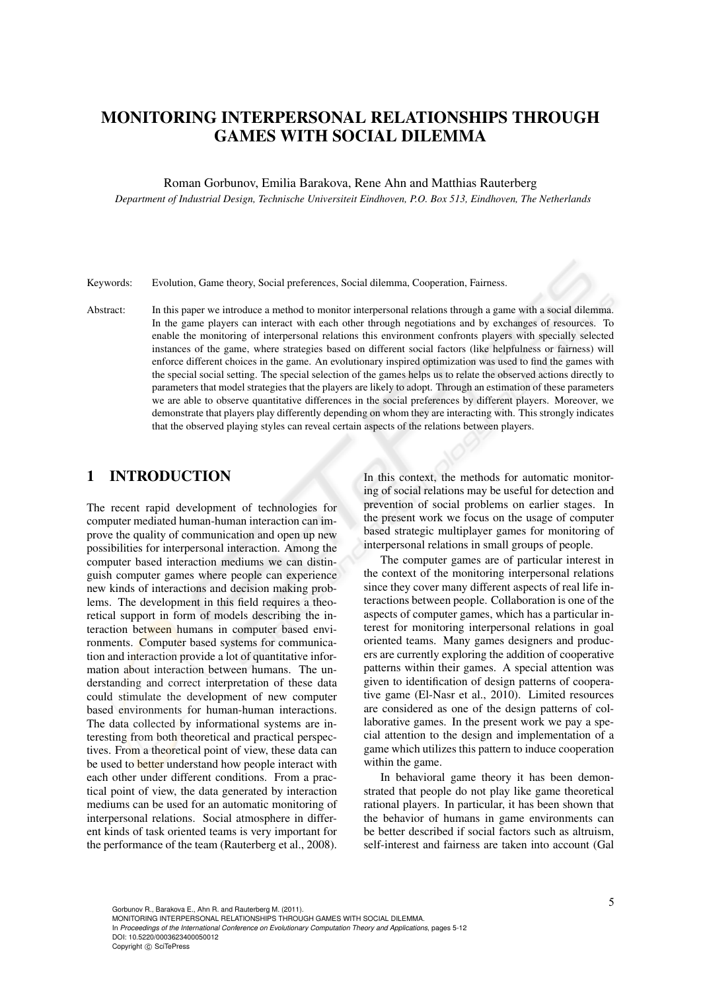# MONITORING INTERPERSONAL RELATIONSHIPS THROUGH GAMES WITH SOCIAL DILEMMA

#### Roman Gorbunov, Emilia Barakova, Rene Ahn and Matthias Rauterberg

*Department of Industrial Design, Technische Universiteit Eindhoven, P.O. Box 513, Eindhoven, The Netherlands*

Keywords: Evolution, Game theory, Social preferences, Social dilemma, Cooperation, Fairness.

Abstract: In this paper we introduce a method to monitor interpersonal relations through a game with a social dilemma. In the game players can interact with each other through negotiations and by exchanges of resources. To enable the monitoring of interpersonal relations this environment confronts players with specially selected instances of the game, where strategies based on different social factors (like helpfulness or fairness) will enforce different choices in the game. An evolutionary inspired optimization was used to find the games with the special social setting. The special selection of the games helps us to relate the observed actions directly to parameters that model strategies that the players are likely to adopt. Through an estimation of these parameters we are able to observe quantitative differences in the social preferences by different players. Moreover, we demonstrate that players play differently depending on whom they are interacting with. This strongly indicates that the observed playing styles can reveal certain aspects of the relations between players.

# 1 INTRODUCTION

The recent rapid development of technologies for computer mediated human-human interaction can improve the quality of communication and open up new possibilities for interpersonal interaction. Among the computer based interaction mediums we can distinguish computer games where people can experience new kinds of interactions and decision making problems. The development in this field requires a theoretical support in form of models describing the interaction between humans in computer based environments. Computer based systems for communication and interaction provide a lot of quantitative information about interaction between humans. The understanding and correct interpretation of these data could stimulate the development of new computer based environments for human-human interactions. The data collected by informational systems are interesting from both theoretical and practical perspectives. From a theoretical point of view, these data can be used to **better** understand how people interact with each other under different conditions. From a practical point of view, the data generated by interaction mediums can be used for an automatic monitoring of interpersonal relations. Social atmosphere in different kinds of task oriented teams is very important for the performance of the team (Rauterberg et al., 2008).

In this context, the methods for automatic monitoring of social relations may be useful for detection and prevention of social problems on earlier stages. In the present work we focus on the usage of computer based strategic multiplayer games for monitoring of interpersonal relations in small groups of people.

The computer games are of particular interest in the context of the monitoring interpersonal relations since they cover many different aspects of real life interactions between people. Collaboration is one of the aspects of computer games, which has a particular interest for monitoring interpersonal relations in goal oriented teams. Many games designers and producers are currently exploring the addition of cooperative patterns within their games. A special attention was given to identification of design patterns of cooperative game (El-Nasr et al., 2010). Limited resources are considered as one of the design patterns of collaborative games. In the present work we pay a special attention to the design and implementation of a game which utilizes this pattern to induce cooperation within the game.

In behavioral game theory it has been demonstrated that people do not play like game theoretical rational players. In particular, it has been shown that the behavior of humans in game environments can be better described if social factors such as altruism, self-interest and fairness are taken into account (Gal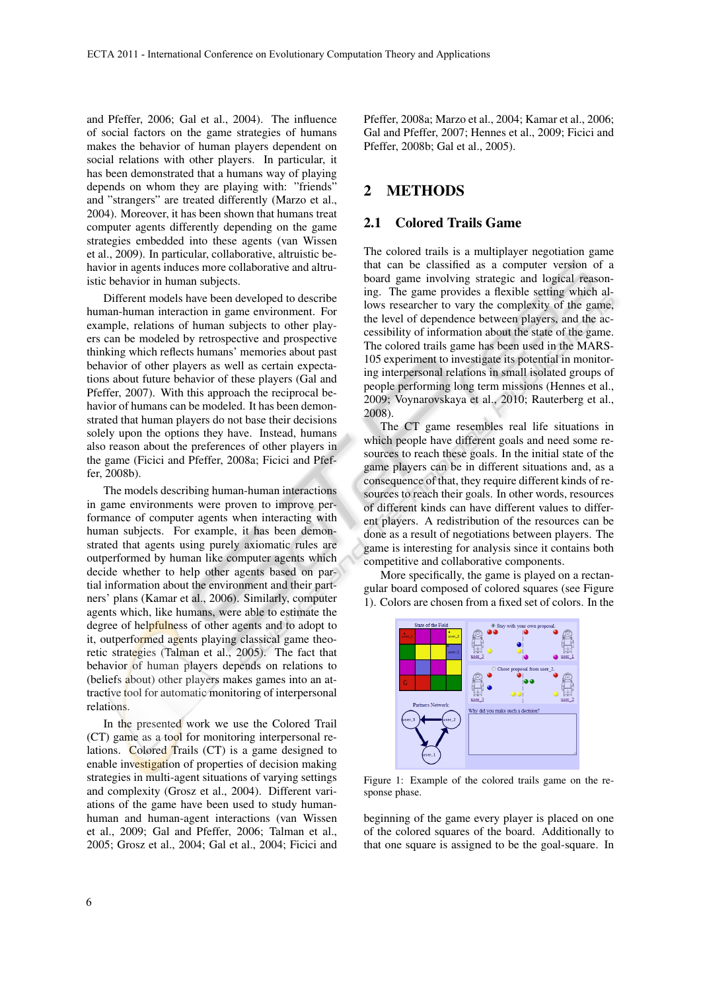and Pfeffer, 2006; Gal et al., 2004). The influence of social factors on the game strategies of humans makes the behavior of human players dependent on social relations with other players. In particular, it has been demonstrated that a humans way of playing depends on whom they are playing with: "friends" and "strangers" are treated differently (Marzo et al., 2004). Moreover, it has been shown that humans treat computer agents differently depending on the game strategies embedded into these agents (van Wissen et al., 2009). In particular, collaborative, altruistic behavior in agents induces more collaborative and altruistic behavior in human subjects.

Different models have been developed to describe human-human interaction in game environment. For example, relations of human subjects to other players can be modeled by retrospective and prospective thinking which reflects humans' memories about past behavior of other players as well as certain expectations about future behavior of these players (Gal and Pfeffer, 2007). With this approach the reciprocal behavior of humans can be modeled. It has been demonstrated that human players do not base their decisions solely upon the options they have. Instead, humans also reason about the preferences of other players in the game (Ficici and Pfeffer, 2008a; Ficici and Pfeffer, 2008b).

The models describing human-human interactions in game environments were proven to improve performance of computer agents when interacting with human subjects. For example, it has been demonstrated that agents using purely axiomatic rules are outperformed by human like computer agents which decide whether to help other agents based on partial information about the environment and their partners' plans (Kamar et al., 2006). Similarly, computer agents which, like humans, were able to estimate the degree of helpfulness of other agents and to adopt to it, outperformed agents playing classical game theoretic strategies (Talman et al., 2005). The fact that behavior of human players depends on relations to (beliefs about) other players makes games into an attractive tool for automatic monitoring of interpersonal relations.

In the presented work we use the Colored Trail (CT) game as a tool for monitoring interpersonal relations. Colored Trails (CT) is a game designed to enable investigation of properties of decision making strategies in multi-agent situations of varying settings and complexity (Grosz et al., 2004). Different variations of the game have been used to study humanhuman and human-agent interactions (van Wissen et al., 2009; Gal and Pfeffer, 2006; Talman et al., 2005; Grosz et al., 2004; Gal et al., 2004; Ficici and

Pfeffer, 2008a; Marzo et al., 2004; Kamar et al., 2006; Gal and Pfeffer, 2007; Hennes et al., 2009; Ficici and Pfeffer, 2008b; Gal et al., 2005).

# 2 METHODS

#### 2.1 Colored Trails Game

The colored trails is a multiplayer negotiation game that can be classified as a computer version of a board game involving strategic and logical reasoning. The game provides a flexible setting which allows researcher to vary the complexity of the game, the level of dependence between players, and the accessibility of information about the state of the game. The colored trails game has been used in the MARS-105 experiment to investigate its potential in monitoring interpersonal relations in small isolated groups of people performing long term missions (Hennes et al., 2009; Voynarovskaya et al., 2010; Rauterberg et al., 2008).

The CT game resembles real life situations in which people have different goals and need some resources to reach these goals. In the initial state of the game players can be in different situations and, as a consequence of that, they require different kinds of resources to reach their goals. In other words, resources of different kinds can have different values to different players. A redistribution of the resources can be done as a result of negotiations between players. The game is interesting for analysis since it contains both competitive and collaborative components.

More specifically, the game is played on a rectangular board composed of colored squares (see Figure 1). Colors are chosen from a fixed set of colors. In the



Figure 1: Example of the colored trails game on the response phase.

beginning of the game every player is placed on one of the colored squares of the board. Additionally to that one square is assigned to be the goal-square. In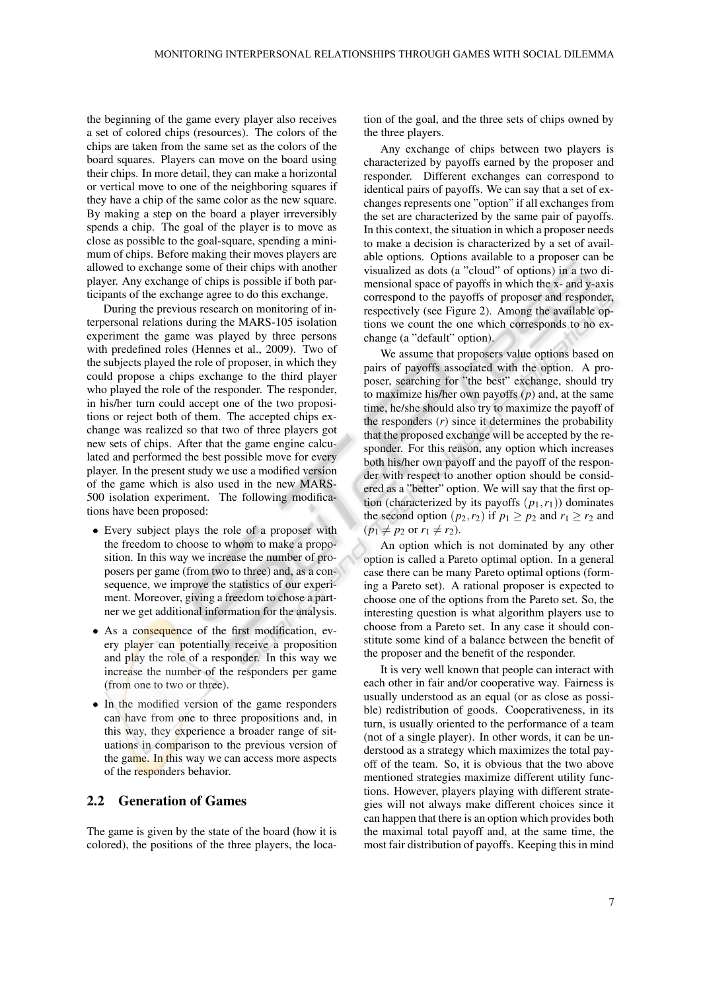the beginning of the game every player also receives a set of colored chips (resources). The colors of the chips are taken from the same set as the colors of the board squares. Players can move on the board using their chips. In more detail, they can make a horizontal or vertical move to one of the neighboring squares if they have a chip of the same color as the new square. By making a step on the board a player irreversibly spends a chip. The goal of the player is to move as close as possible to the goal-square, spending a minimum of chips. Before making their moves players are allowed to exchange some of their chips with another player. Any exchange of chips is possible if both participants of the exchange agree to do this exchange.

During the previous research on monitoring of interpersonal relations during the MARS-105 isolation experiment the game was played by three persons with predefined roles (Hennes et al., 2009). Two of the subjects played the role of proposer, in which they could propose a chips exchange to the third player who played the role of the responder. The responder, in his/her turn could accept one of the two propositions or reject both of them. The accepted chips exchange was realized so that two of three players got new sets of chips. After that the game engine calculated and performed the best possible move for every player. In the present study we use a modified version of the game which is also used in the new MARS-500 isolation experiment. The following modifications have been proposed:

- Every subject plays the role of a proposer with the freedom to choose to whom to make a proposition. In this way we increase the number of proposers per game (from two to three) and, as a consequence, we improve the statistics of our experiment. Moreover, giving a freedom to chose a partner we get additional information for the analysis.
- As a consequence of the first modification, every player can potentially receive a proposition and play the role of a responder. In this way we increase the number of the responders per game (from one to two or three).
- In the modified version of the game responders can have from one to three propositions and, in this way, they experience a broader range of situations in comparison to the previous version of the game. In this way we can access more aspects of the responders behavior.

#### 2.2 Generation of Games

The game is given by the state of the board (how it is colored), the positions of the three players, the location of the goal, and the three sets of chips owned by the three players.

Any exchange of chips between two players is characterized by payoffs earned by the proposer and responder. Different exchanges can correspond to identical pairs of payoffs. We can say that a set of exchanges represents one "option" if all exchanges from the set are characterized by the same pair of payoffs. In this context, the situation in which a proposer needs to make a decision is characterized by a set of available options. Options available to a proposer can be visualized as dots (a "cloud" of options) in a two dimensional space of payoffs in which the x- and y-axis correspond to the payoffs of proposer and responder, respectively (see Figure 2). Among the available options we count the one which corresponds to no exchange (a "default" option).

We assume that proposers value options based on pairs of payoffs associated with the option. A proposer, searching for "the best" exchange, should try to maximize his/her own payoffs (*p*) and, at the same time, he/she should also try to maximize the payoff of the responders (*r*) since it determines the probability that the proposed exchange will be accepted by the responder. For this reason, any option which increases both his/her own payoff and the payoff of the responder with respect to another option should be considered as a "better" option. We will say that the first option (characterized by its payoffs  $(p_1, r_1)$ ) dominates the second option  $(p_2, r_2)$  if  $p_1 \geq p_2$  and  $r_1 \geq r_2$  and  $(p_1 \neq p_2 \text{ or } r_1 \neq r_2).$ 

An option which is not dominated by any other option is called a Pareto optimal option. In a general case there can be many Pareto optimal options (forming a Pareto set). A rational proposer is expected to choose one of the options from the Pareto set. So, the interesting question is what algorithm players use to choose from a Pareto set. In any case it should constitute some kind of a balance between the benefit of the proposer and the benefit of the responder.

It is very well known that people can interact with each other in fair and/or cooperative way. Fairness is usually understood as an equal (or as close as possible) redistribution of goods. Cooperativeness, in its turn, is usually oriented to the performance of a team (not of a single player). In other words, it can be understood as a strategy which maximizes the total payoff of the team. So, it is obvious that the two above mentioned strategies maximize different utility functions. However, players playing with different strategies will not always make different choices since it can happen that there is an option which provides both the maximal total payoff and, at the same time, the most fair distribution of payoffs. Keeping this in mind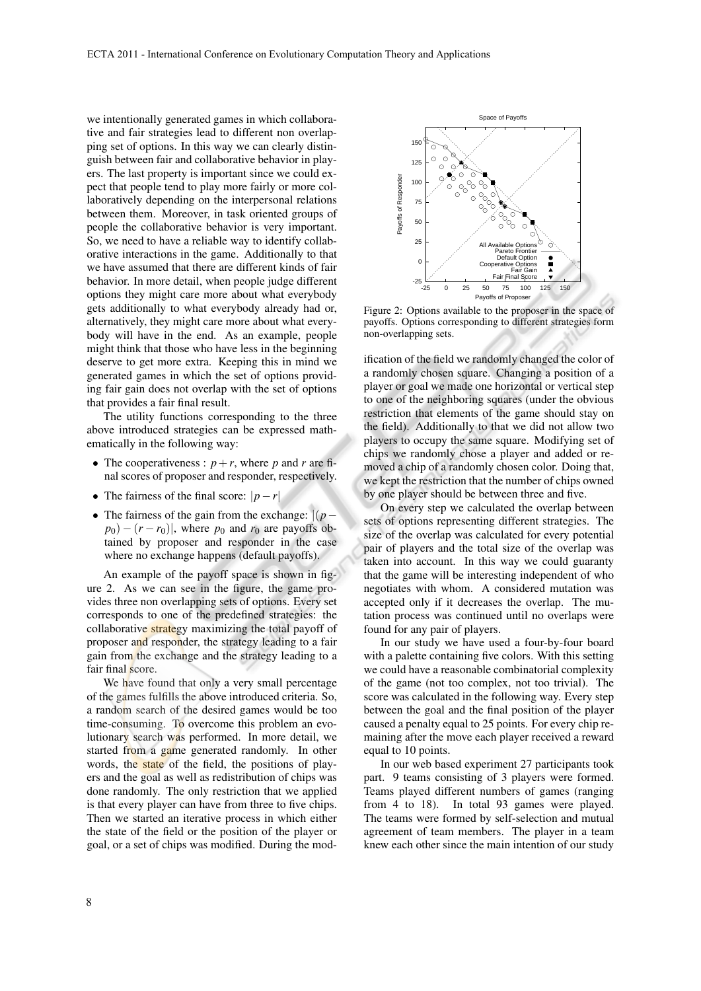we intentionally generated games in which collaborative and fair strategies lead to different non overlapping set of options. In this way we can clearly distinguish between fair and collaborative behavior in players. The last property is important since we could expect that people tend to play more fairly or more collaboratively depending on the interpersonal relations between them. Moreover, in task oriented groups of people the collaborative behavior is very important. So, we need to have a reliable way to identify collaborative interactions in the game. Additionally to that we have assumed that there are different kinds of fair behavior. In more detail, when people judge different options they might care more about what everybody gets additionally to what everybody already had or, alternatively, they might care more about what everybody will have in the end. As an example, people might think that those who have less in the beginning deserve to get more extra. Keeping this in mind we generated games in which the set of options providing fair gain does not overlap with the set of options that provides a fair final result.

The utility functions corresponding to the three above introduced strategies can be expressed mathematically in the following way:

- The cooperativeness :  $p + r$ , where p and r are final scores of proposer and responder, respectively.
- The fairness of the final score: |*p*−*r*|
- The fairness of the gain from the exchange: |(*p*−  $p_0$ ) − (*r* − *r*<sub>0</sub>)|, where  $p_0$  and  $r_0$  are payoffs obtained by proposer and responder in the case where no exchange happens (default payoffs).

An example of the payoff space is shown in figure 2. As we can see in the figure, the game provides three non overlapping sets of options. Every set corresponds to one of the predefined strategies: the collaborative strategy maximizing the total payoff of proposer and responder, the strategy leading to a fair gain from the exchange and the strategy leading to a fair final score.

We have found that only a very small percentage of the games fulfills the above introduced criteria. So, a random search of the desired games would be too time-consuming. To overcome this problem an evolutionary search was performed. In more detail, we started from a game generated randomly. In other words, the state of the field, the positions of players and the goal as well as redistribution of chips was done randomly. The only restriction that we applied is that every player can have from three to five chips. Then we started an iterative process in which either the state of the field or the position of the player or goal, or a set of chips was modified. During the mod-



Figure 2: Options available to the proposer in the space of payoffs. Options corresponding to different strategies form non-overlapping sets.

ification of the field we randomly changed the color of a randomly chosen square. Changing a position of a player or goal we made one horizontal or vertical step to one of the neighboring squares (under the obvious restriction that elements of the game should stay on the field). Additionally to that we did not allow two players to occupy the same square. Modifying set of chips we randomly chose a player and added or removed a chip of a randomly chosen color. Doing that, we kept the restriction that the number of chips owned by one player should be between three and five.

On every step we calculated the overlap between sets of options representing different strategies. The size of the overlap was calculated for every potential pair of players and the total size of the overlap was taken into account. In this way we could guaranty that the game will be interesting independent of who negotiates with whom. A considered mutation was accepted only if it decreases the overlap. The mutation process was continued until no overlaps were found for any pair of players.

In our study we have used a four-by-four board with a palette containing five colors. With this setting we could have a reasonable combinatorial complexity of the game (not too complex, not too trivial). The score was calculated in the following way. Every step between the goal and the final position of the player caused a penalty equal to 25 points. For every chip remaining after the move each player received a reward equal to 10 points.

In our web based experiment 27 participants took part. 9 teams consisting of 3 players were formed. Teams played different numbers of games (ranging from 4 to 18). In total 93 games were played. The teams were formed by self-selection and mutual agreement of team members. The player in a team knew each other since the main intention of our study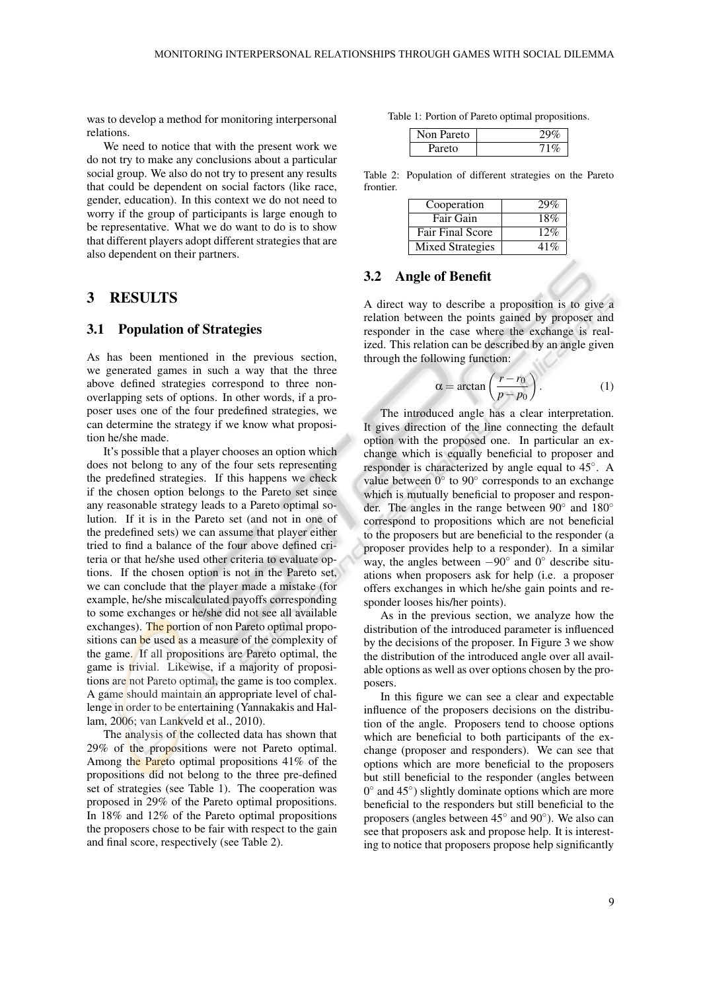was to develop a method for monitoring interpersonal relations.

We need to notice that with the present work we do not try to make any conclusions about a particular social group. We also do not try to present any results that could be dependent on social factors (like race, gender, education). In this context we do not need to worry if the group of participants is large enough to be representative. What we do want to do is to show that different players adopt different strategies that are also dependent on their partners.

### 3 RESULTS

#### 3.1 Population of Strategies

As has been mentioned in the previous section, we generated games in such a way that the three above defined strategies correspond to three nonoverlapping sets of options. In other words, if a proposer uses one of the four predefined strategies, we can determine the strategy if we know what proposition he/she made.

It's possible that a player chooses an option which does not belong to any of the four sets representing the predefined strategies. If this happens we check if the chosen option belongs to the Pareto set since any reasonable strategy leads to a Pareto optimal solution. If it is in the Pareto set (and not in one of the predefined sets) we can assume that player either tried to find a balance of the four above defined criteria or that he/she used other criteria to evaluate options. If the chosen option is not in the Pareto set, we can conclude that the player made a mistake (for example, he/she miscalculated payoffs corresponding to some exchanges or he/she did not see all available exchanges). The portion of non Pareto optimal propositions can be used as a measure of the complexity of the game. If all propositions are Pareto optimal, the game is trivial. Likewise, if a majority of propositions are not Pareto optimal, the game is too complex. A game should maintain an appropriate level of challenge in order to be entertaining (Yannakakis and Hallam, 2006; van Lankveld et al., 2010).

The analysis of the collected data has shown that 29% of the propositions were not Pareto optimal. Among the Pareto optimal propositions 41% of the propositions did not belong to the three pre-defined set of strategies (see Table 1). The cooperation was proposed in 29% of the Pareto optimal propositions. In 18% and 12% of the Pareto optimal propositions the proposers chose to be fair with respect to the gain and final score, respectively (see Table 2).

Table 1: Portion of Pareto optimal propositions.

| Non Pareto |  |
|------------|--|
| Pareto     |  |

Table 2: Population of different strategies on the Pareto frontier.

| Cooperation             | 29% |
|-------------------------|-----|
| Fair Gain               | 18% |
| <b>Fair Final Score</b> | 12% |
| <b>Mixed Strategies</b> | 41% |

### 3.2 Angle of Benefit

A direct way to describe a proposition is to give a relation between the points gained by proposer and responder in the case where the exchange is realized. This relation can be described by an angle given through the following function:

$$
\alpha = \arctan\left(\frac{r - r_0}{p - p_0}\right). \tag{1}
$$

The introduced angle has a clear interpretation. It gives direction of the line connecting the default option with the proposed one. In particular an exchange which is equally beneficial to proposer and responder is characterized by angle equal to 45°. A value between  $0^\circ$  to  $90^\circ$  corresponds to an exchange which is mutually beneficial to proposer and responder. The angles in the range between 90° and 180° correspond to propositions which are not beneficial to the proposers but are beneficial to the responder (a proposer provides help to a responder). In a similar way, the angles between  $-90^\circ$  and 0 $^\circ$  describe situations when proposers ask for help (i.e. a proposer offers exchanges in which he/she gain points and responder looses his/her points).

As in the previous section, we analyze how the distribution of the introduced parameter is influenced by the decisions of the proposer. In Figure 3 we show the distribution of the introduced angle over all available options as well as over options chosen by the proposers.

In this figure we can see a clear and expectable influence of the proposers decisions on the distribution of the angle. Proposers tend to choose options which are beneficial to both participants of the exchange (proposer and responders). We can see that options which are more beneficial to the proposers but still beneficial to the responder (angles between 0° and 45°) slightly dominate options which are more beneficial to the responders but still beneficial to the proposers (angles between 45° and 90°). We also can see that proposers ask and propose help. It is interesting to notice that proposers propose help significantly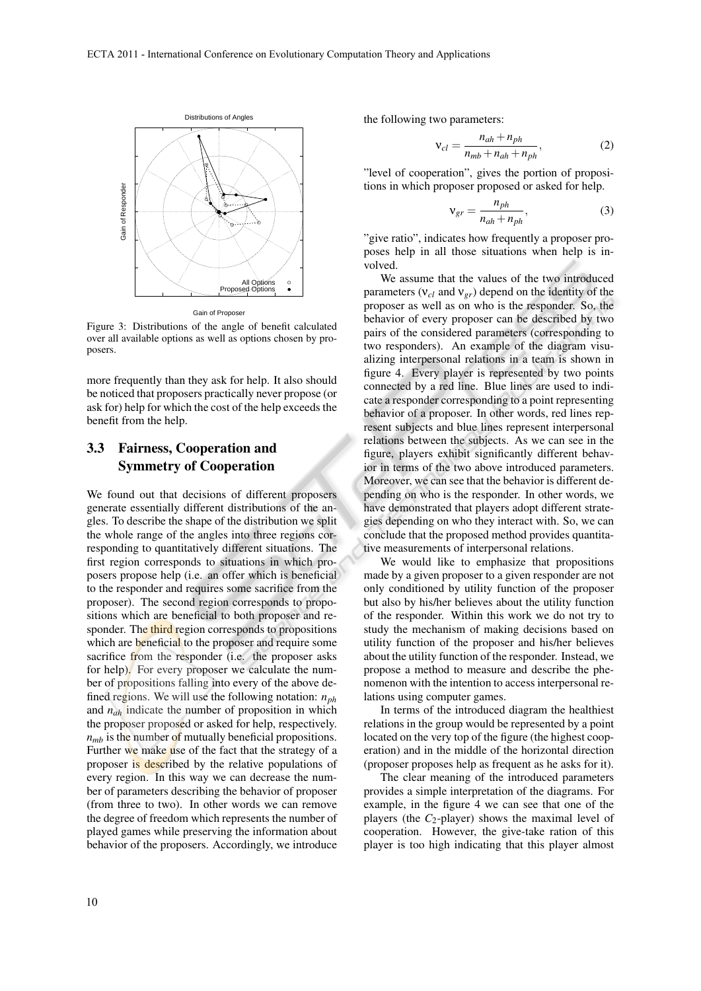

Figure 3: Distributions of the angle of benefit calculated over all available options as well as options chosen by proposers.

more frequently than they ask for help. It also should be noticed that proposers practically never propose (or ask for) help for which the cost of the help exceeds the benefit from the help.

# 3.3 Fairness, Cooperation and Symmetry of Cooperation

We found out that decisions of different proposers generate essentially different distributions of the angles. To describe the shape of the distribution we split the whole range of the angles into three regions corresponding to quantitatively different situations. The first region corresponds to situations in which proposers propose help (i.e. an offer which is beneficial to the responder and requires some sacrifice from the proposer). The second region corresponds to propositions which are beneficial to both proposer and responder. The third region corresponds to propositions which are **beneficial** to the proposer and require some sacrifice from the responder (i.e. the proposer asks for help). For every proposer we calculate the number of propositions falling into every of the above defined regions. We will use the following notation: *nph* and *nah* indicate the number of proposition in which the proposer proposed or asked for help, respectively.  $n<sub>mb</sub>$  is the number of mutually beneficial propositions. Further we make use of the fact that the strategy of a proposer is described by the relative populations of every region. In this way we can decrease the number of parameters describing the behavior of proposer (from three to two). In other words we can remove the degree of freedom which represents the number of played games while preserving the information about behavior of the proposers. Accordingly, we introduce

the following two parameters:

$$
v_{cl} = \frac{n_{ah} + n_{ph}}{n_{mb} + n_{ah} + n_{ph}},
$$
 (2)

"level of cooperation", gives the portion of propositions in which proposer proposed or asked for help.

$$
v_{gr} = \frac{n_{ph}}{n_{ah} + n_{ph}},
$$
\n(3)

"give ratio", indicates how frequently a proposer proposes help in all those situations when help is involved.

We assume that the values of the two introduced parameters (ν*cl* and ν*gr*) depend on the identity of the proposer as well as on who is the responder. So, the behavior of every proposer can be described by two pairs of the considered parameters (corresponding to two responders). An example of the diagram visualizing interpersonal relations in a team is shown in figure 4. Every player is represented by two points connected by a red line. Blue lines are used to indicate a responder corresponding to a point representing behavior of a proposer. In other words, red lines represent subjects and blue lines represent interpersonal relations between the subjects. As we can see in the figure, players exhibit significantly different behavior in terms of the two above introduced parameters. Moreover, we can see that the behavior is different depending on who is the responder. In other words, we have demonstrated that players adopt different strategies depending on who they interact with. So, we can conclude that the proposed method provides quantitative measurements of interpersonal relations.

We would like to emphasize that propositions made by a given proposer to a given responder are not only conditioned by utility function of the proposer but also by his/her believes about the utility function of the responder. Within this work we do not try to study the mechanism of making decisions based on utility function of the proposer and his/her believes about the utility function of the responder. Instead, we propose a method to measure and describe the phenomenon with the intention to access interpersonal relations using computer games.

In terms of the introduced diagram the healthiest relations in the group would be represented by a point located on the very top of the figure (the highest cooperation) and in the middle of the horizontal direction (proposer proposes help as frequent as he asks for it).

The clear meaning of the introduced parameters provides a simple interpretation of the diagrams. For example, in the figure 4 we can see that one of the players (the *C*2-player) shows the maximal level of cooperation. However, the give-take ration of this player is too high indicating that this player almost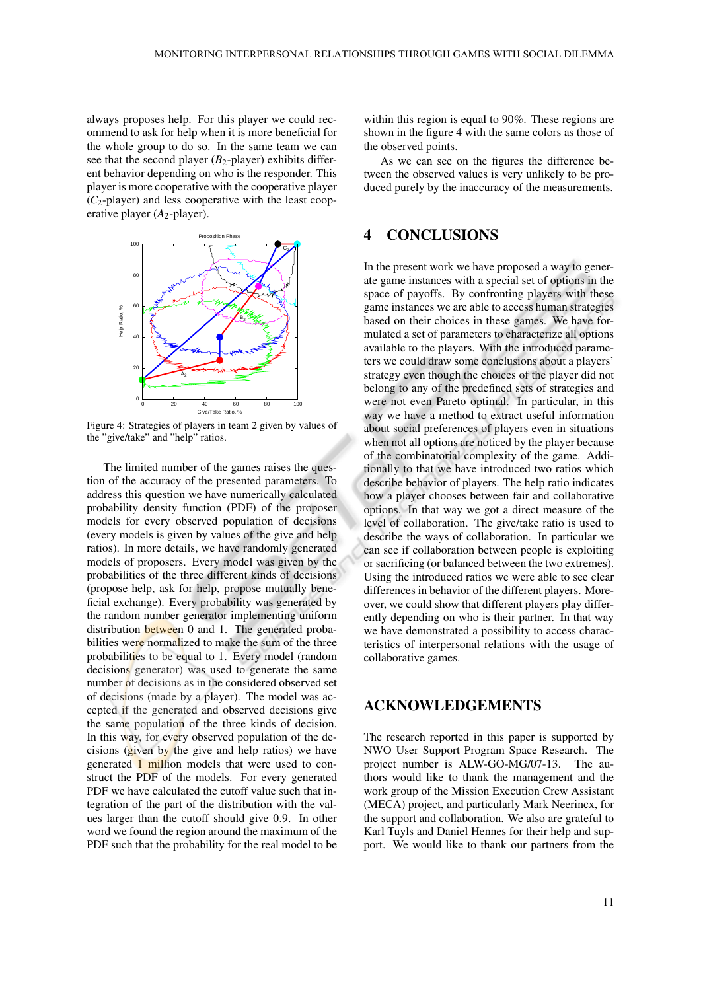always proposes help. For this player we could recommend to ask for help when it is more beneficial for the whole group to do so. In the same team we can see that the second player (*B*2-player) exhibits different behavior depending on who is the responder. This player is more cooperative with the cooperative player  $(C_2$ -player) and less cooperative with the least cooperative player (*A*<sub>2</sub>-player).



Figure 4: Strategies of players in team 2 given by values of the "give/take" and "help" ratios.

The limited number of the games raises the question of the accuracy of the presented parameters. To address this question we have numerically calculated probability density function (PDF) of the proposer models for every observed population of decisions (every models is given by values of the give and help ratios). In more details, we have randomly generated models of proposers. Every model was given by the probabilities of the three different kinds of decisions (propose help, ask for help, propose mutually beneficial exchange). Every probability was generated by the random number generator implementing uniform distribution between 0 and 1. The generated probabilities were normalized to make the sum of the three probabilities to be equal to 1. Every model (random decisions generator) was used to generate the same number of decisions as in the considered observed set of decisions (made by a player). The model was accepted if the generated and observed decisions give the same population of the three kinds of decision. In this way, for every observed population of the decisions (given by the give and help ratios) we have generated 1 million models that were used to construct the PDF of the models. For every generated PDF we have calculated the cutoff value such that integration of the part of the distribution with the values larger than the cutoff should give 0.9. In other word we found the region around the maximum of the PDF such that the probability for the real model to be within this region is equal to 90%. These regions are shown in the figure 4 with the same colors as those of the observed points.

As we can see on the figures the difference between the observed values is very unlikely to be produced purely by the inaccuracy of the measurements.

### 4 CONCLUSIONS

In the present work we have proposed a way to generate game instances with a special set of options in the space of payoffs. By confronting players with these game instances we are able to access human strategies based on their choices in these games. We have formulated a set of parameters to characterize all options available to the players. With the introduced parameters we could draw some conclusions about a players' strategy even though the choices of the player did not belong to any of the predefined sets of strategies and were not even Pareto optimal. In particular, in this way we have a method to extract useful information about social preferences of players even in situations when not all options are noticed by the player because of the combinatorial complexity of the game. Additionally to that we have introduced two ratios which describe behavior of players. The help ratio indicates how a player chooses between fair and collaborative options. In that way we got a direct measure of the level of collaboration. The give/take ratio is used to describe the ways of collaboration. In particular we can see if collaboration between people is exploiting or sacrificing (or balanced between the two extremes). Using the introduced ratios we were able to see clear differences in behavior of the different players. Moreover, we could show that different players play differently depending on who is their partner. In that way we have demonstrated a possibility to access characteristics of interpersonal relations with the usage of collaborative games.

# ACKNOWLEDGEMENTS

The research reported in this paper is supported by NWO User Support Program Space Research. The project number is ALW-GO-MG/07-13. The authors would like to thank the management and the work group of the Mission Execution Crew Assistant (MECA) project, and particularly Mark Neerincx, for the support and collaboration. We also are grateful to Karl Tuyls and Daniel Hennes for their help and support. We would like to thank our partners from the